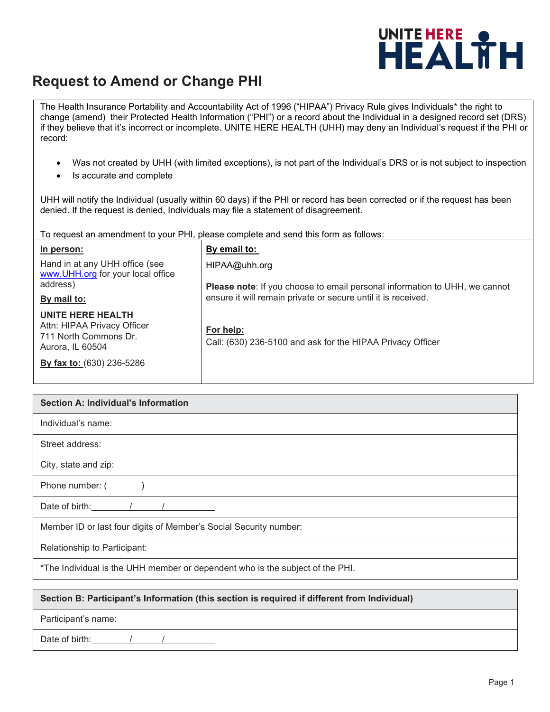

## **Request to Amend or Change PHI**

The Health Insurance Portability and Accountability Act of 1996 ("HIPAA") Privacy Rule gives Individuals\* the right to change (amend) their Protected Health Information ("PHI") or a record about the Individual in a designed record set (DRS) if they believe that it's incorrect or incomplete. UNITE HERE HEALTH (UHH) may deny an Individual's request if the PHI or record:

- Was not created by UHH (with limited exceptions), is not part of the Individual's DRS or is not subject to inspection
- Is accurate and complete

UHH will notify the Individual (usually within 60 days) if the PHI or record has been corrected or if the request has been denied. If the request is denied, Individuals may file a statement of disagreement.

To request an amendment to your PHI, please complete and send this form as follows:

| In person:                                                                                    | By email to:                                                                                       |
|-----------------------------------------------------------------------------------------------|----------------------------------------------------------------------------------------------------|
| Hand in at any UHH office (see<br>www.UHH.org for your local office<br>address)               | HIPAA@uhh.org<br><b>Please note:</b> If you choose to email personal information to UHH, we cannot |
| By mail to:                                                                                   | ensure it will remain private or secure until it is received.                                      |
| UNITE HERE HEALTH<br>Attn: HIPAA Privacy Officer<br>711 North Commons Dr.<br>Aurora, IL 60504 | For help:<br>Call: (630) 236-5100 and ask for the HIPAA Privacy Officer                            |
| By fax to: (630) 236-5286                                                                     |                                                                                                    |

| <b>Section A: Individual's Information</b>                                    |  |  |
|-------------------------------------------------------------------------------|--|--|
| Individual's name:                                                            |  |  |
| Street address:                                                               |  |  |
| City, state and zip:                                                          |  |  |
| Phone number: (                                                               |  |  |
| Date of birth:                                                                |  |  |
| Member ID or last four digits of Member's Social Security number:             |  |  |
| Relationship to Participant:                                                  |  |  |
| *The Individual is the UHH member or dependent who is the subject of the PHI. |  |  |

## **Section B: Participant's Information (this section is required if different from Individual)**

Participant's name:

Date of birth: